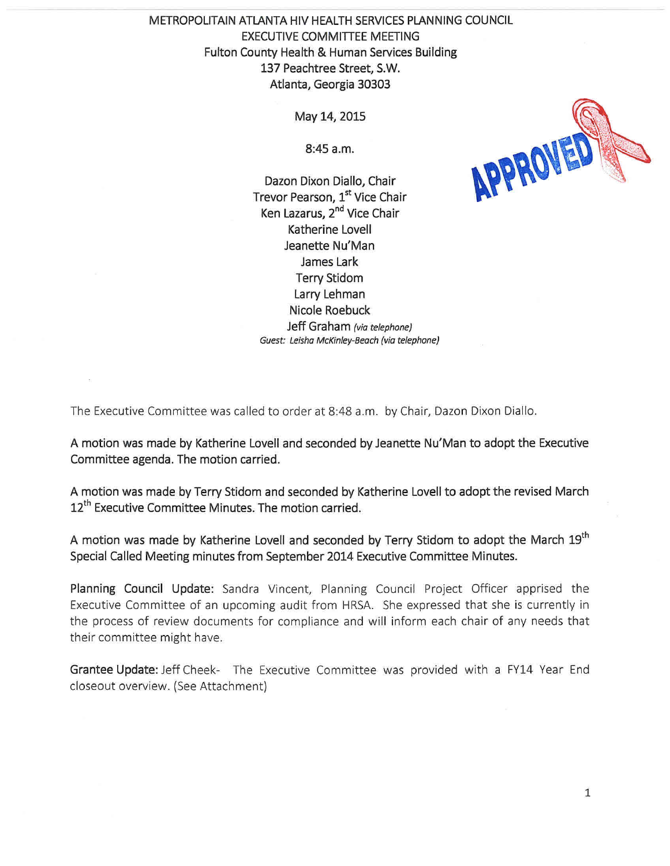METROPOLITAIN ATLANTA HIV HEALTH SERVICES PLANNING COUNCIL EXECUTIVE COMMITTEE MEETING Fulton County Health & Human Services Building 137 Peachtree Street, S.W. Atlanta, Georgia 30303

May 14, 2015

8:45 a.m.

Dazon Dixon Diallo, Chair Trevor Pearson, 1st Vice Chair Ken Lazarus, 2<sup>nd</sup> Vice Chair Katherine Lovell Jeanette Nu'Man James Lark Terry Stidom Larry Lehman Nicole Roebuck Jeff Graham *(via telephone) Guest: Leisha McKinley-Beach (via telephone)* 



The Executive Committee was called to order at 8:48 a.m. by Chair, Dazon Dixon Diallo.

A motion was made by Katherine Lovell and seconded by Jeanette Nu'Man to adopt the Executive Committee agenda. The motion carried.

A motion was made by Terry Stidom and seconded by Katherine Lovell to adopt the revised March 12<sup>th</sup> Executive Committee Minutes. The motion carried.

A motion was made by Katherine Lovell and seconded by Terry Stidom to adopt the March 19<sup>th</sup> Special Called Meeting minutes from September 2014 Executive Committee Minutes.

Planning Council Update: Sandra Vincent, Planning Council Project Officer apprised the Executive Committee of an upcoming audit from HRSA. She expressed that she is currently in the process of review documents for compliance and will inform each chair of any needs that their committee might have.

Grantee Update: Jeff Cheek- The Executive Committee was provided with a FY14 Year End closeout overview. (See Attachment)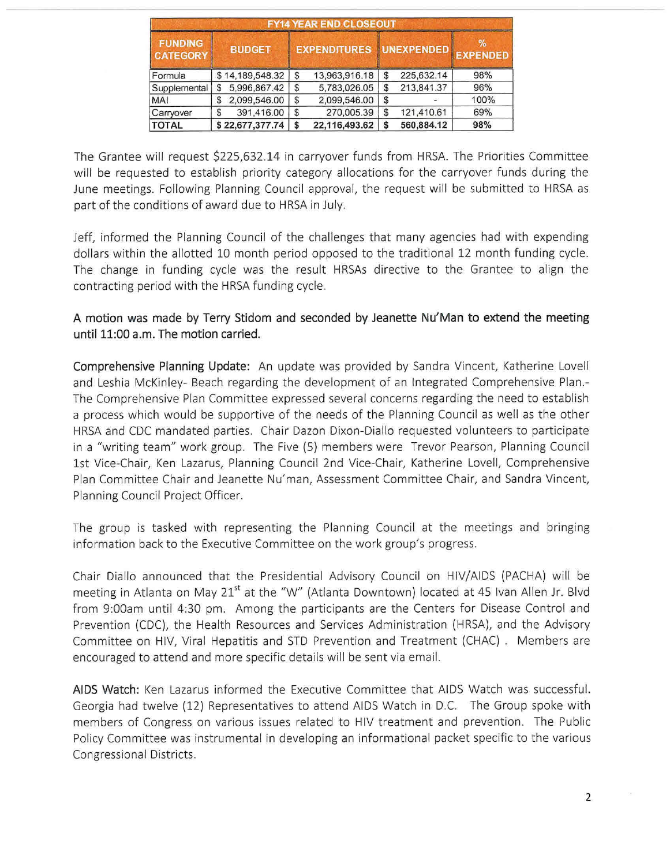| <b>FY14 YEAR END CLOSEOUT</b>     |                                  |                                  |               |    |            |      |
|-----------------------------------|----------------------------------|----------------------------------|---------------|----|------------|------|
| <b>FUNDING</b><br><b>CATEGORY</b> | <b>BUDGET</b><br>\$14,189,548.32 | EXPENDITURES UNEXPENDED EXPENDED |               |    |            | $\%$ |
| Formula                           |                                  | \$                               | 13.963.916.18 | S  | 225.632.14 | 98%  |
| Supplemental                      | 5,996,867.42<br>S                | \$                               | 5,783,026.05  | \$ | 213,841.37 | 96%  |
| <b>MAI</b>                        | 2,099,546.00<br>\$               | \$                               | 2,099,546.00  | \$ |            | 100% |
| Carryover                         | 391,416.00<br>S                  | \$                               | 270,005.39    | \$ | 121,410.61 | 69%  |
| <b>TOTAL</b>                      | \$22,677,377.74                  | \$                               | 22,116,493.62 | S  | 560,884.12 | 98%  |

The Grantee will request \$225,632.14 in carryover funds from HRSA. The Priorities Committee will be requested to establish priority category allocations for the carryover funds during the June meetings. Following Planning Council approval, the request will be submitted to HRSA as part of the conditions of award due to HRSA in July.

Jeff, informed the Planning Council of the challenges that many agencies had with expending dollars within the allotted 10 month period opposed to the traditional 12 month funding cycle. The change in funding cycle was the result HRSAs directive to the Grantee to align the contracting period with the HRSA funding cycle.

A motion was made by Terry Stidom and seconded by Jeanette Nu'Man to extend the meeting until 11:00 a.m. The motion carried.

Comprehensive Planning Update: An update was provided by Sandra Vincent, Katherine Lovell and Leshia McKinley- Beach regarding the development of an Integrated Comprehensive Plan.- The Comprehensive Plan Committee expressed several concerns regarding the need to establish a process which would be supportive of the needs of the Planning Council as well as the other HRSA and CDC mandated parties. Chair Dazon Dixon-Diallo requested volunteers to participate in a "writing team" work group. The Five (5) members were Trevor Pearson, Planning Council 1st Vice-Chair, Ken Lazarus, Planning Council 2nd Vice-Chair, Katherine Lovell, Comprehensive Plan Committee Chair and Jeanette Nu'man, Assessment Committee Chair, and Sandra Vincent, Planning Council Project Officer.

The group is tasked with representing the Planning Council at the meetings and bringing information back to the Executive Committee on the work group's progress.

Chair Diallo announced that the Presidential Advisory Council on HIV/AIDS (PACHA) will be meeting in Atlanta on May 21<sup>st</sup> at the "W" (Atlanta Downtown) located at 45 Ivan Allen Jr. Blvd from 9:00am until 4:30 pm. Among the participants are the Centers for Disease Control and Prevention (CDC), the Health Resources and Services Administration (HRSA), and the Advisory Committee on HIV, Viral Hepatitis and STD Prevention and Treatment (CHAC). Members are encouraged to attend and more specific details will be sent via email.

AIDS Watch: Ken Lazarus informed the Executive Committee that AIDS Watch was successful. Georgia had twelve (12) Representatives to attend AIDS Watch in D.C. The Group spoke with members of Congress on various issues related to HIV treatment and prevention. The Public Policy Committee was instrumental in developing an informational packet specific to the various Congressional Districts.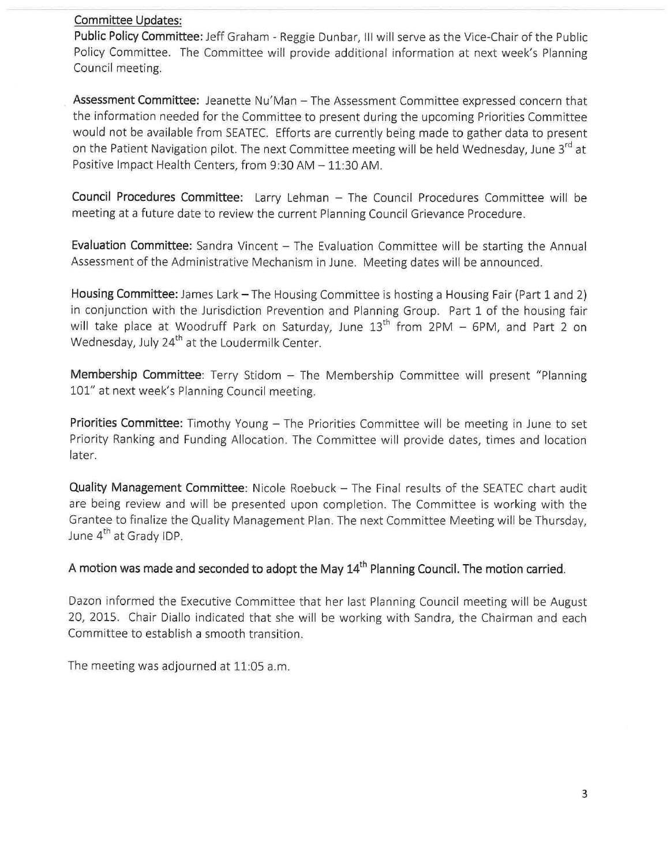## **Committee Updates:**

**Public Policy Committee:** Jeff Graham - Reggie Dunbar, III will serve as the Vice-Chair of the Public Policy Committee. The Committee will provide additional information at next week's Planning Council meeting.

Assessment Committee: Jeanette Nu'Man - The Assessment Committee expressed concern that the information needed for the Committee to present during the upcoming Priorities Committee would not be available from SEATEC. Efforts are currently being made to gather data to present on the Patient Navigation pilot. The next Committee meeting will be held Wednesday, June 3<sup>rd</sup> at Positive Impact Health Centers, from 9:30 AM - 11:30 AM.

**Council Procedures Committee:** Larry Lehman - The Council Procedures Committee will be meeting at a future date to review the current Planning Council Grievance Procedure.

Evaluation Committee: Sandra Vincent - The Evaluation Committee will be starting the Annual Assessment of the Administrative Mechanism in June. Meeting dates will be announced.

Housing Committee: James Lark - The Housing Committee is hosting a Housing Fair (Part 1 and 2) in conjunction with the Jurisdiction Prevention and Planning Group. Part 1 of the housing fair will take place at Woodruff Park on Saturday, June  $13<sup>th</sup>$  from 2PM - 6PM, and Part 2 on Wednesday, July 24<sup>th</sup> at the Loudermilk Center.

**Membership Committee**: Terry Stidom - The Membership Committee will present "Planning 101" at next week's Planning Council meeting.

**Priorities Committee:** Timothy Young – The Priorities Committee will be meeting in June to set Priority Ranking and Funding Allocation. The Committee will provide dates, times and location later.

**Quality Management Committee:** Nicole Roebuck - The Final results of the SEATEC chart audit are being review and will be presented upon completion. The Committee is working with the Grantee to finalize the Quality Management Plan. The next Committee Meeting will be Thursday, June 4<sup>th</sup> at Grady IDP.

A motion was made and seconded to adopt the May 14<sup>th</sup> Planning Council. The motion carried.

Dazon informed the Executive Committee that her last Planning Council meeting will be August 20, 2015. Chair Diallo indicated that she will be working with Sandra, the Chairman and each Committee to establish a smooth transition.

The meeting was adjourned at 11:05 a.m.